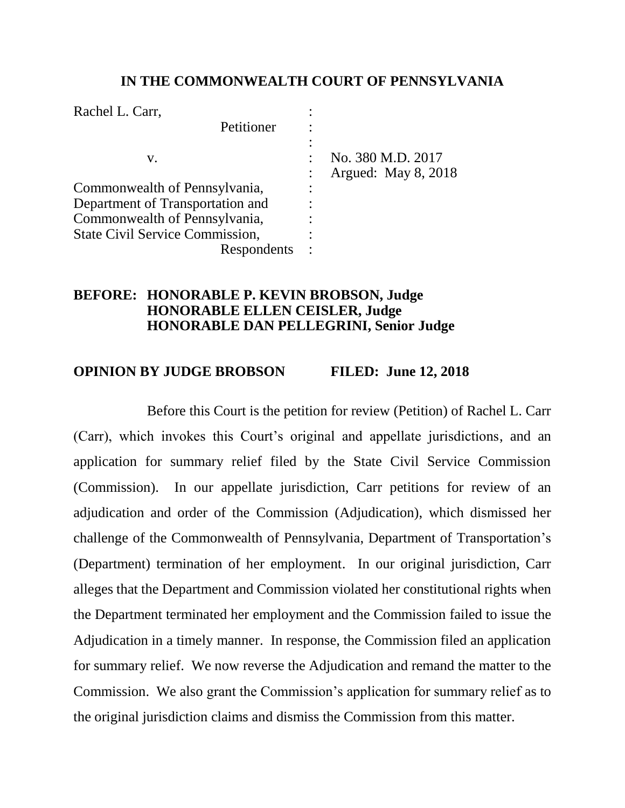### **IN THE COMMONWEALTH COURT OF PENNSYLVANIA**

| Rachel L. Carr,                        |             |                     |
|----------------------------------------|-------------|---------------------|
|                                        | Petitioner  |                     |
| V.                                     |             | No. 380 M.D. 2017   |
|                                        |             | Argued: May 8, 2018 |
| Commonwealth of Pennsylvania,          |             |                     |
| Department of Transportation and       |             |                     |
| Commonwealth of Pennsylvania,          |             |                     |
| <b>State Civil Service Commission,</b> |             |                     |
|                                        | Respondents |                     |

## **BEFORE: HONORABLE P. KEVIN BROBSON, Judge HONORABLE ELLEN CEISLER, Judge HONORABLE DAN PELLEGRINI, Senior Judge**

# **OPINION BY JUDGE BROBSON FILED: June 12, 2018**

Before this Court is the petition for review (Petition) of Rachel L. Carr (Carr), which invokes this Court's original and appellate jurisdictions, and an application for summary relief filed by the State Civil Service Commission (Commission). In our appellate jurisdiction, Carr petitions for review of an adjudication and order of the Commission (Adjudication), which dismissed her challenge of the Commonwealth of Pennsylvania, Department of Transportation's (Department) termination of her employment. In our original jurisdiction, Carr alleges that the Department and Commission violated her constitutional rights when the Department terminated her employment and the Commission failed to issue the Adjudication in a timely manner. In response, the Commission filed an application for summary relief. We now reverse the Adjudication and remand the matter to the Commission. We also grant the Commission's application for summary relief as to the original jurisdiction claims and dismiss the Commission from this matter.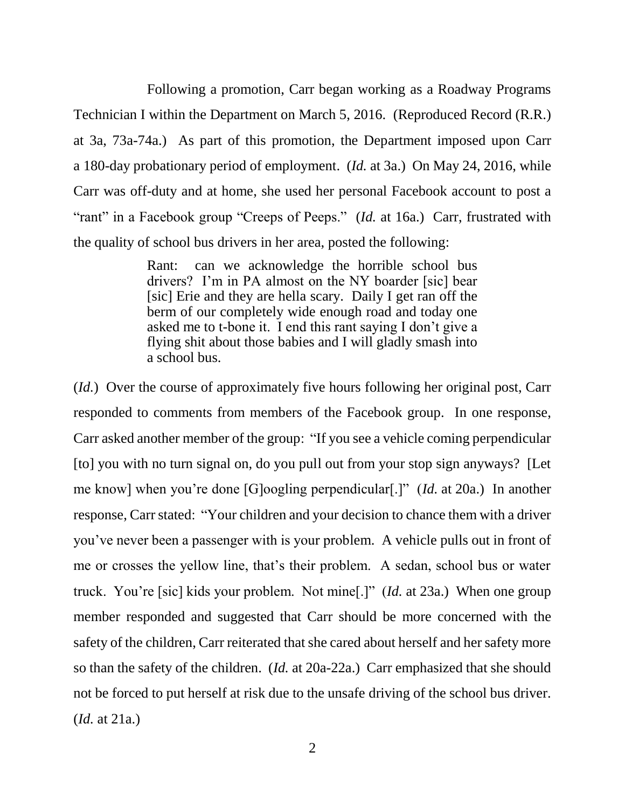Following a promotion, Carr began working as a Roadway Programs Technician I within the Department on March 5, 2016. (Reproduced Record (R.R.) at 3a, 73a-74a.) As part of this promotion, the Department imposed upon Carr a 180-day probationary period of employment. (*Id.* at 3a.) On May 24, 2016, while Carr was off-duty and at home, she used her personal Facebook account to post a "rant" in a Facebook group "Creeps of Peeps." (*Id.* at 16a.) Carr, frustrated with the quality of school bus drivers in her area, posted the following:

> Rant: can we acknowledge the horrible school bus drivers? I'm in PA almost on the NY boarder [sic] bear [sic] Erie and they are hella scary. Daily I get ran off the berm of our completely wide enough road and today one asked me to t-bone it. I end this rant saying I don't give a flying shit about those babies and I will gladly smash into a school bus.

(*Id.*) Over the course of approximately five hours following her original post, Carr responded to comments from members of the Facebook group. In one response, Carr asked another member of the group: "If you see a vehicle coming perpendicular [to] you with no turn signal on, do you pull out from your stop sign anyways? [Let me know] when you're done [G]oogling perpendicular[.]" (*Id.* at 20a.) In another response, Carr stated: "Your children and your decision to chance them with a driver you've never been a passenger with is your problem. A vehicle pulls out in front of me or crosses the yellow line, that's their problem. A sedan, school bus or water truck. You're [sic] kids your problem. Not mine[.]" (*Id.* at 23a.) When one group member responded and suggested that Carr should be more concerned with the safety of the children, Carr reiterated that she cared about herself and her safety more so than the safety of the children. (*Id.* at 20a-22a.) Carr emphasized that she should not be forced to put herself at risk due to the unsafe driving of the school bus driver. (*Id.* at 21a.)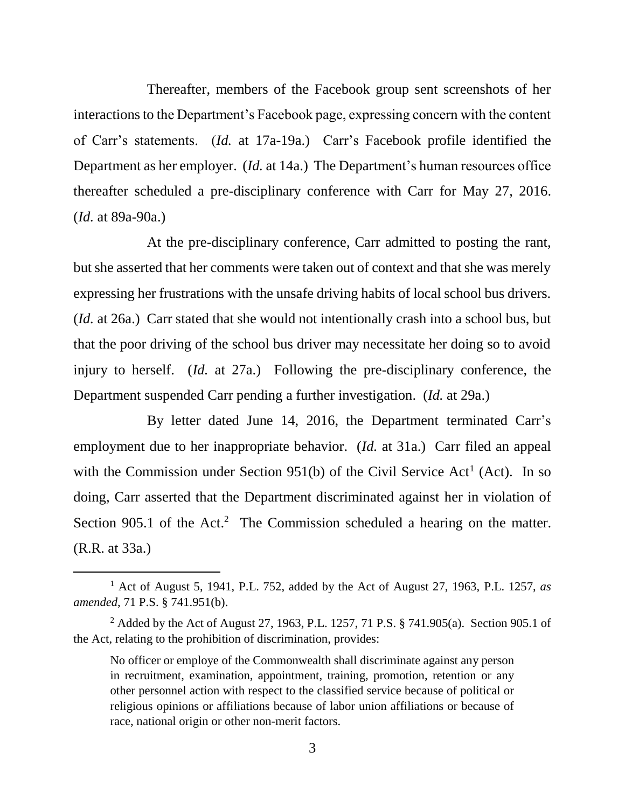Thereafter, members of the Facebook group sent screenshots of her interactions to the Department's Facebook page, expressing concern with the content of Carr's statements. (*Id.* at 17a-19a.) Carr's Facebook profile identified the Department as her employer. (*Id.* at 14a.) The Department's human resources office thereafter scheduled a pre-disciplinary conference with Carr for May 27, 2016. (*Id.* at 89a-90a.)

At the pre-disciplinary conference, Carr admitted to posting the rant, but she asserted that her comments were taken out of context and that she was merely expressing her frustrations with the unsafe driving habits of local school bus drivers. (*Id.* at 26a.) Carr stated that she would not intentionally crash into a school bus, but that the poor driving of the school bus driver may necessitate her doing so to avoid injury to herself. (*Id.* at 27a.) Following the pre-disciplinary conference, the Department suspended Carr pending a further investigation. (*Id.* at 29a.)

By letter dated June 14, 2016, the Department terminated Carr's employment due to her inappropriate behavior. (*Id.* at 31a.) Carr filed an appeal with the Commission under Section 951(b) of the Civil Service Act<sup>1</sup> (Act). In so doing, Carr asserted that the Department discriminated against her in violation of Section  $905.1$  of the Act.<sup>2</sup> The Commission scheduled a hearing on the matter. (R.R. at 33a.)

<sup>1</sup> Act of August 5, 1941, P.L. 752, added by the Act of August 27, 1963, P.L. 1257, *as amended*, 71 P.S. § 741.951(b).

<sup>&</sup>lt;sup>2</sup> Added by the Act of August 27, 1963, P.L. 1257, 71 P.S. § 741.905(a). Section 905.1 of the Act, relating to the prohibition of discrimination, provides:

No officer or employe of the Commonwealth shall discriminate against any person in recruitment, examination, appointment, training, promotion, retention or any other personnel action with respect to the classified service because of political or religious opinions or affiliations because of labor union affiliations or because of race, national origin or other non-merit factors.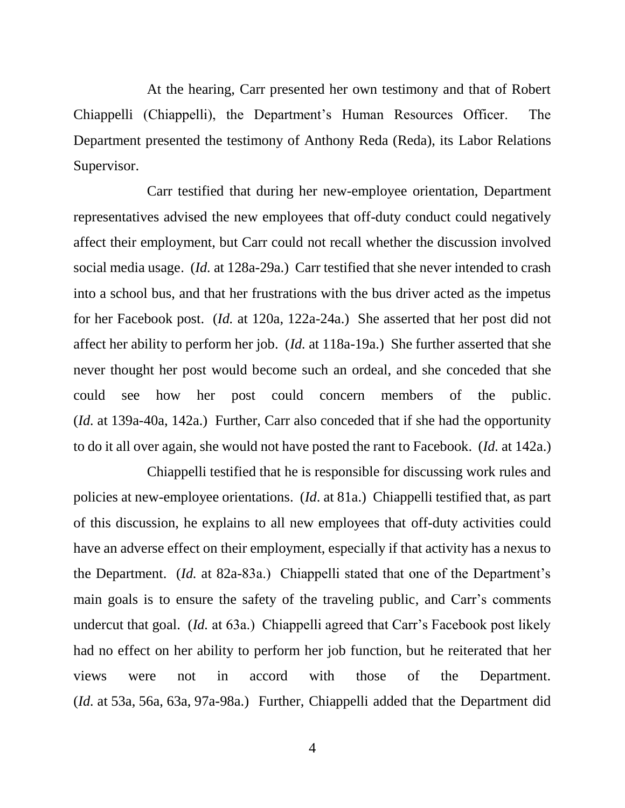At the hearing, Carr presented her own testimony and that of Robert Chiappelli (Chiappelli), the Department's Human Resources Officer. The Department presented the testimony of Anthony Reda (Reda), its Labor Relations Supervisor.

Carr testified that during her new-employee orientation, Department representatives advised the new employees that off-duty conduct could negatively affect their employment, but Carr could not recall whether the discussion involved social media usage. (*Id.* at 128a-29a.) Carr testified that she never intended to crash into a school bus, and that her frustrations with the bus driver acted as the impetus for her Facebook post. (*Id.* at 120a, 122a-24a.) She asserted that her post did not affect her ability to perform her job. (*Id.* at 118a-19a.) She further asserted that she never thought her post would become such an ordeal, and she conceded that she could see how her post could concern members of the public. (*Id.* at 139a-40a, 142a.) Further, Carr also conceded that if she had the opportunity to do it all over again, she would not have posted the rant to Facebook. (*Id.* at 142a.)

Chiappelli testified that he is responsible for discussing work rules and policies at new-employee orientations. (*Id*. at 81a.) Chiappelli testified that, as part of this discussion, he explains to all new employees that off-duty activities could have an adverse effect on their employment, especially if that activity has a nexus to the Department. (*Id.* at 82a-83a.) Chiappelli stated that one of the Department's main goals is to ensure the safety of the traveling public, and Carr's comments undercut that goal. (*Id.* at 63a.) Chiappelli agreed that Carr's Facebook post likely had no effect on her ability to perform her job function, but he reiterated that her views were not in accord with those of the Department. (*Id.* at 53a, 56a, 63a, 97a-98a.) Further, Chiappelli added that the Department did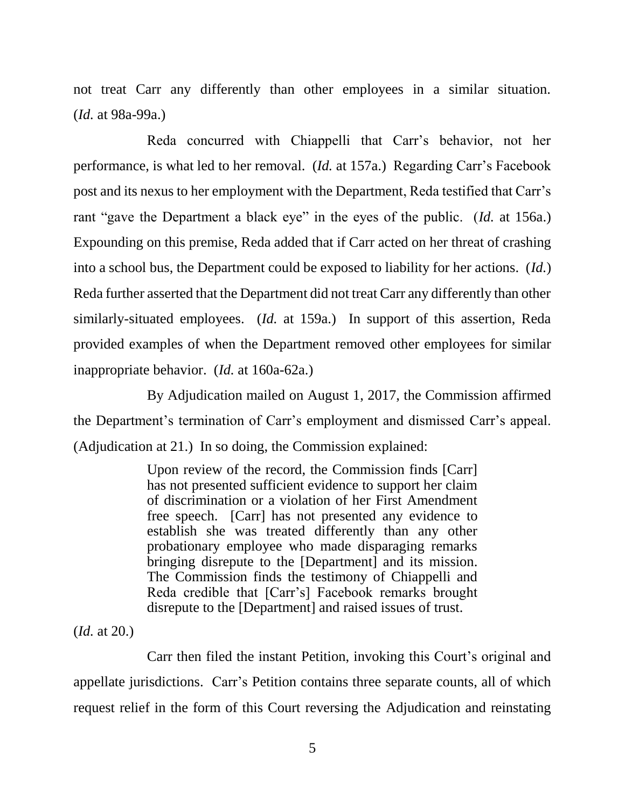not treat Carr any differently than other employees in a similar situation. (*Id.* at 98a-99a.)

Reda concurred with Chiappelli that Carr's behavior, not her performance, is what led to her removal. (*Id.* at 157a.) Regarding Carr's Facebook post and its nexus to her employment with the Department, Reda testified that Carr's rant "gave the Department a black eye" in the eyes of the public. (*Id.* at 156a.) Expounding on this premise, Reda added that if Carr acted on her threat of crashing into a school bus, the Department could be exposed to liability for her actions. (*Id.*) Reda further asserted that the Department did not treat Carr any differently than other similarly-situated employees. (*Id.* at 159a.) In support of this assertion, Reda provided examples of when the Department removed other employees for similar inappropriate behavior. (*Id.* at 160a-62a.)

By Adjudication mailed on August 1, 2017, the Commission affirmed the Department's termination of Carr's employment and dismissed Carr's appeal. (Adjudication at 21.) In so doing, the Commission explained:

> Upon review of the record, the Commission finds [Carr] has not presented sufficient evidence to support her claim of discrimination or a violation of her First Amendment free speech. [Carr] has not presented any evidence to establish she was treated differently than any other probationary employee who made disparaging remarks bringing disrepute to the [Department] and its mission. The Commission finds the testimony of Chiappelli and Reda credible that [Carr's] Facebook remarks brought disrepute to the [Department] and raised issues of trust.

(*Id.* at 20.)

Carr then filed the instant Petition, invoking this Court's original and appellate jurisdictions. Carr's Petition contains three separate counts, all of which request relief in the form of this Court reversing the Adjudication and reinstating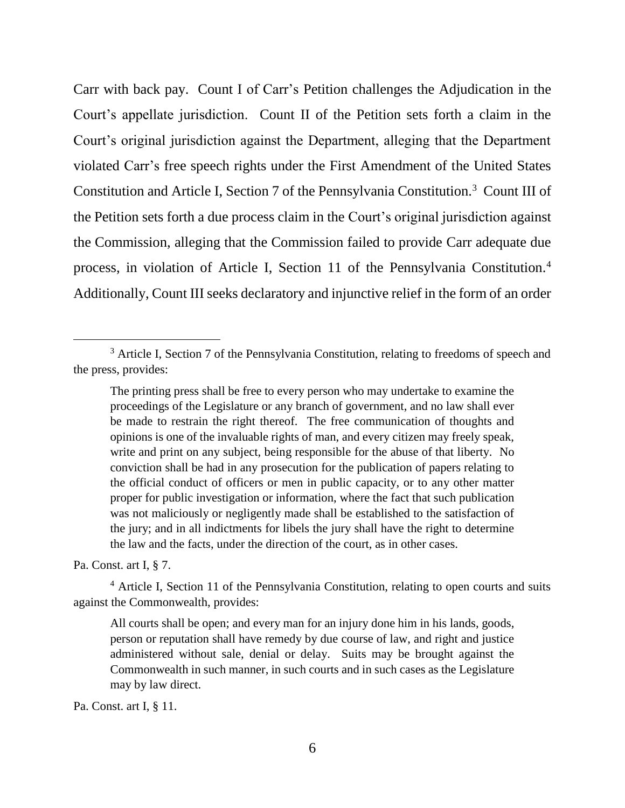Carr with back pay. Count I of Carr's Petition challenges the Adjudication in the Court's appellate jurisdiction. Count II of the Petition sets forth a claim in the Court's original jurisdiction against the Department, alleging that the Department violated Carr's free speech rights under the First Amendment of the United States Constitution and Article I, Section 7 of the Pennsylvania Constitution.<sup>3</sup> Count III of the Petition sets forth a due process claim in the Court's original jurisdiction against the Commission, alleging that the Commission failed to provide Carr adequate due process, in violation of Article I, Section 11 of the Pennsylvania Constitution.<sup>4</sup> Additionally, Count III seeks declaratory and injunctive relief in the form of an order

Pa. Const. art I, § 7.

l

<sup>4</sup> Article I, Section 11 of the Pennsylvania Constitution, relating to open courts and suits against the Commonwealth, provides:

All courts shall be open; and every man for an injury done him in his lands, goods, person or reputation shall have remedy by due course of law, and right and justice administered without sale, denial or delay. Suits may be brought against the Commonwealth in such manner, in such courts and in such cases as the Legislature may by law direct.

Pa. Const. art I, § 11.

<sup>&</sup>lt;sup>3</sup> Article I, Section 7 of the Pennsylvania Constitution, relating to freedoms of speech and the press, provides:

The printing press shall be free to every person who may undertake to examine the proceedings of the Legislature or any branch of government, and no law shall ever be made to restrain the right thereof. The free communication of thoughts and opinions is one of the invaluable rights of man, and every citizen may freely speak, write and print on any subject, being responsible for the abuse of that liberty. No conviction shall be had in any prosecution for the publication of papers relating to the official conduct of officers or men in public capacity, or to any other matter proper for public investigation or information, where the fact that such publication was not maliciously or negligently made shall be established to the satisfaction of the jury; and in all indictments for libels the jury shall have the right to determine the law and the facts, under the direction of the court, as in other cases.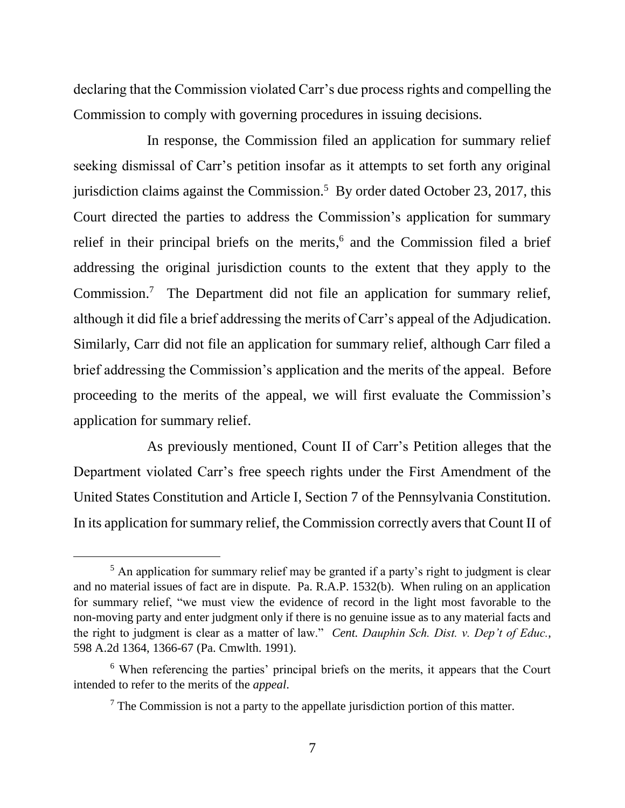declaring that the Commission violated Carr's due process rights and compelling the Commission to comply with governing procedures in issuing decisions.

In response, the Commission filed an application for summary relief seeking dismissal of Carr's petition insofar as it attempts to set forth any original jurisdiction claims against the Commission. 5 By order dated October 23, 2017, this Court directed the parties to address the Commission's application for summary relief in their principal briefs on the merits, 6 and the Commission filed a brief addressing the original jurisdiction counts to the extent that they apply to the Commission.<sup>7</sup> The Department did not file an application for summary relief, although it did file a brief addressing the merits of Carr's appeal of the Adjudication. Similarly, Carr did not file an application for summary relief, although Carr filed a brief addressing the Commission's application and the merits of the appeal. Before proceeding to the merits of the appeal, we will first evaluate the Commission's application for summary relief.

As previously mentioned, Count II of Carr's Petition alleges that the Department violated Carr's free speech rights under the First Amendment of the United States Constitution and Article I, Section 7 of the Pennsylvania Constitution. In its application for summary relief, the Commission correctly avers that Count II of

<sup>&</sup>lt;sup>5</sup> An application for summary relief may be granted if a party's right to judgment is clear and no material issues of fact are in dispute. Pa. R.A.P. 1532(b). When ruling on an application for summary relief, "we must view the evidence of record in the light most favorable to the non-moving party and enter judgment only if there is no genuine issue as to any material facts and the right to judgment is clear as a matter of law." *Cent. Dauphin Sch. Dist. v. Dep't of Educ.*, 598 A.2d 1364, 1366-67 (Pa. Cmwlth. 1991).

<sup>6</sup> When referencing the parties' principal briefs on the merits, it appears that the Court intended to refer to the merits of the *appeal*.

 $<sup>7</sup>$  The Commission is not a party to the appellate jurisdiction portion of this matter.</sup>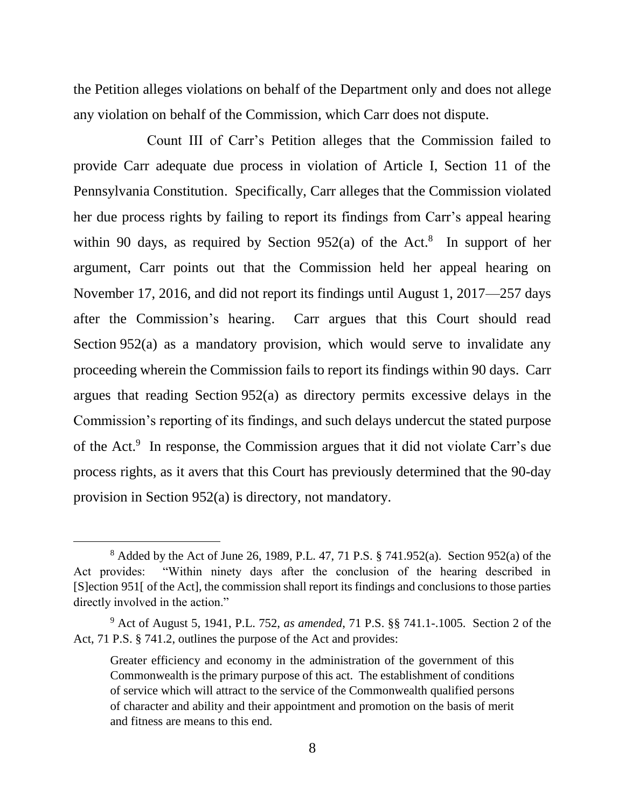the Petition alleges violations on behalf of the Department only and does not allege any violation on behalf of the Commission, which Carr does not dispute.

Count III of Carr's Petition alleges that the Commission failed to provide Carr adequate due process in violation of Article I, Section 11 of the Pennsylvania Constitution. Specifically, Carr alleges that the Commission violated her due process rights by failing to report its findings from Carr's appeal hearing within 90 days, as required by Section  $952(a)$  of the Act.<sup>8</sup> In support of her argument, Carr points out that the Commission held her appeal hearing on November 17, 2016, and did not report its findings until August 1, 2017—257 days after the Commission's hearing. Carr argues that this Court should read Section 952(a) as a mandatory provision, which would serve to invalidate any proceeding wherein the Commission fails to report its findings within 90 days. Carr argues that reading Section 952(a) as directory permits excessive delays in the Commission's reporting of its findings, and such delays undercut the stated purpose of the Act. 9 In response, the Commission argues that it did not violate Carr's due process rights, as it avers that this Court has previously determined that the 90-day provision in Section 952(a) is directory, not mandatory.

<sup>8</sup> Added by the Act of June 26, 1989, P.L. 47, 71 P.S. § 741.952(a). Section 952(a) of the Act provides: "Within ninety days after the conclusion of the hearing described in [S]ection 951[ of the Act], the commission shall report its findings and conclusions to those parties directly involved in the action."

<sup>9</sup> Act of August 5, 1941, P.L. 752, *as amended*, 71 P.S. §§ 741.1-.1005. Section 2 of the Act, 71 P.S. § 741.2, outlines the purpose of the Act and provides:

Greater efficiency and economy in the administration of the government of this Commonwealth is the primary purpose of this act. The establishment of conditions of service which will attract to the service of the Commonwealth qualified persons of character and ability and their appointment and promotion on the basis of merit and fitness are means to this end.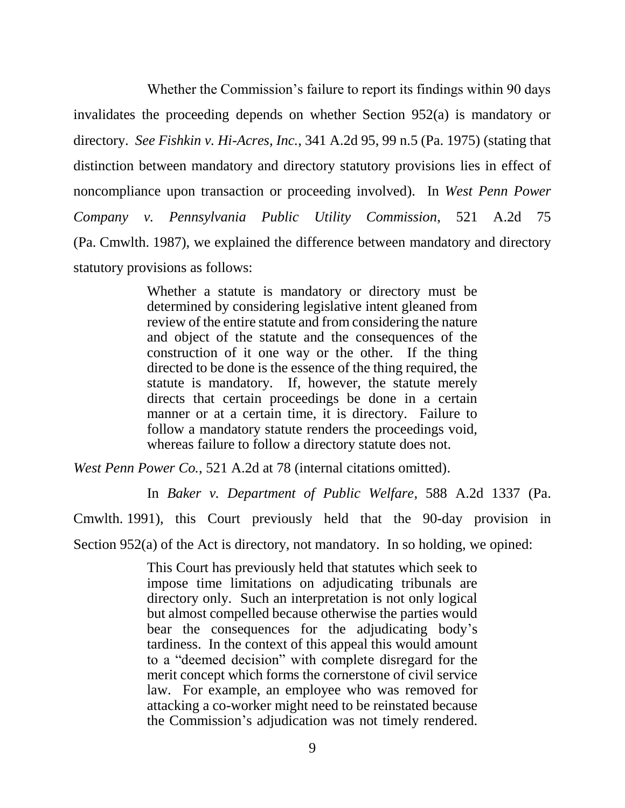Whether the Commission's failure to report its findings within 90 days invalidates the proceeding depends on whether Section 952(a) is mandatory or directory. *See Fishkin v. Hi-Acres, Inc.*, 341 A.2d 95, 99 n.5 (Pa. 1975) (stating that distinction between mandatory and directory statutory provisions lies in effect of noncompliance upon transaction or proceeding involved). In *West Penn Power Company v. Pennsylvania Public Utility Commission*, 521 A.2d 75 (Pa. Cmwlth. 1987), we explained the difference between mandatory and directory statutory provisions as follows:

> Whether a statute is mandatory or directory must be determined by considering legislative intent gleaned from review of the entire statute and from considering the nature and object of the statute and the consequences of the construction of it one way or the other. If the thing directed to be done is the essence of the thing required, the statute is mandatory. If, however, the statute merely directs that certain proceedings be done in a certain manner or at a certain time, it is directory. Failure to follow a mandatory statute renders the proceedings void, whereas failure to follow a directory statute does not.

*West Penn Power Co.*, 521 A.2d at 78 (internal citations omitted).

In *Baker v. Department of Public Welfare*, 588 A.2d 1337 (Pa.

Cmwlth. 1991), this Court previously held that the 90-day provision in

Section 952(a) of the Act is directory, not mandatory. In so holding, we opined:

This Court has previously held that statutes which seek to impose time limitations on adjudicating tribunals are directory only. Such an interpretation is not only logical but almost compelled because otherwise the parties would bear the consequences for the adjudicating body's tardiness. In the context of this appeal this would amount to a "deemed decision" with complete disregard for the merit concept which forms the cornerstone of civil service law. For example, an employee who was removed for attacking a co-worker might need to be reinstated because the Commission's adjudication was not timely rendered.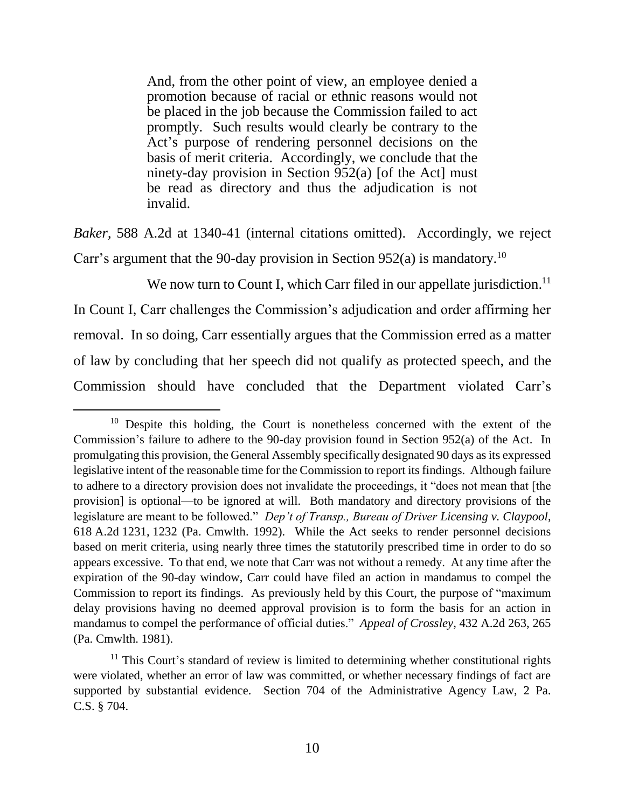And, from the other point of view, an employee denied a promotion because of racial or ethnic reasons would not be placed in the job because the Commission failed to act promptly. Such results would clearly be contrary to the Act's purpose of rendering personnel decisions on the basis of merit criteria. Accordingly, we conclude that the ninety-day provision in Section 952(a) [of the Act] must be read as directory and thus the adjudication is not invalid.

*Baker*, 588 A.2d at 1340-41 (internal citations omitted). Accordingly, we reject Carr's argument that the 90-day provision in Section 952(a) is mandatory.<sup>10</sup>

We now turn to Count I, which Carr filed in our appellate jurisdiction.<sup>11</sup>

In Count I, Carr challenges the Commission's adjudication and order affirming her removal. In so doing, Carr essentially argues that the Commission erred as a matter of law by concluding that her speech did not qualify as protected speech, and the Commission should have concluded that the Department violated Carr's

l

<sup>&</sup>lt;sup>10</sup> Despite this holding, the Court is nonetheless concerned with the extent of the Commission's failure to adhere to the 90-day provision found in Section 952(a) of the Act. In promulgating this provision, the General Assembly specifically designated 90 days as its expressed legislative intent of the reasonable time for the Commission to report its findings. Although failure to adhere to a directory provision does not invalidate the proceedings, it "does not mean that [the provision] is optional—to be ignored at will. Both mandatory and directory provisions of the legislature are meant to be followed." *Dep't of Transp., Bureau of Driver Licensing v. Claypool*, 618 A.2d 1231, 1232 (Pa. Cmwlth. 1992). While the Act seeks to render personnel decisions based on merit criteria, using nearly three times the statutorily prescribed time in order to do so appears excessive. To that end, we note that Carr was not without a remedy. At any time after the expiration of the 90-day window, Carr could have filed an action in mandamus to compel the Commission to report its findings. As previously held by this Court, the purpose of "maximum delay provisions having no deemed approval provision is to form the basis for an action in mandamus to compel the performance of official duties." *Appeal of Crossley*, 432 A.2d 263, 265 (Pa. Cmwlth. 1981).

 $11$  This Court's standard of review is limited to determining whether constitutional rights were violated, whether an error of law was committed, or whether necessary findings of fact are supported by substantial evidence. Section 704 of the Administrative Agency Law, 2 Pa. C.S. § 704.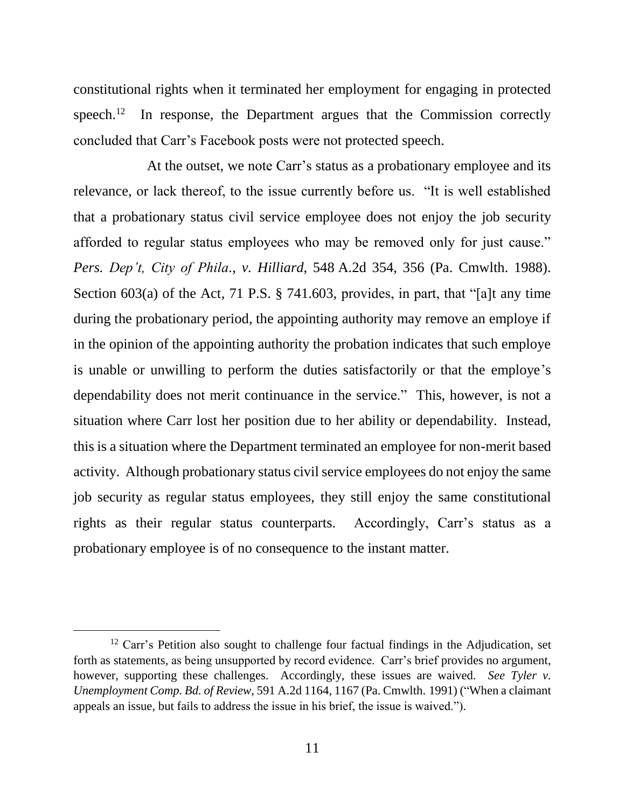constitutional rights when it terminated her employment for engaging in protected speech. 12 In response, the Department argues that the Commission correctly concluded that Carr's Facebook posts were not protected speech.

At the outset, we note Carr's status as a probationary employee and its relevance, or lack thereof, to the issue currently before us. "It is well established that a probationary status civil service employee does not enjoy the job security afforded to regular status employees who may be removed only for just cause." *Pers. Dep't, City of Phila., v. Hilliard*, 548 A.2d 354, 356 (Pa. Cmwlth. 1988). Section 603(a) of the Act, 71 P.S. § 741.603, provides, in part, that "[a]t any time during the probationary period, the appointing authority may remove an employe if in the opinion of the appointing authority the probation indicates that such employe is unable or unwilling to perform the duties satisfactorily or that the employe's dependability does not merit continuance in the service." This, however, is not a situation where Carr lost her position due to her ability or dependability. Instead, this is a situation where the Department terminated an employee for non-merit based activity. Although probationary status civil service employees do not enjoy the same job security as regular status employees, they still enjoy the same constitutional rights as their regular status counterparts. Accordingly, Carr's status as a probationary employee is of no consequence to the instant matter.

 $12$  Carr's Petition also sought to challenge four factual findings in the Adjudication, set forth as statements, as being unsupported by record evidence. Carr's brief provides no argument, however, supporting these challenges. Accordingly, these issues are waived. *See Tyler v. Unemployment Comp. Bd. of Review*, 591 A.2d 1164, 1167 (Pa. Cmwlth. 1991) ("When a claimant appeals an issue, but fails to address the issue in his brief, the issue is waived.").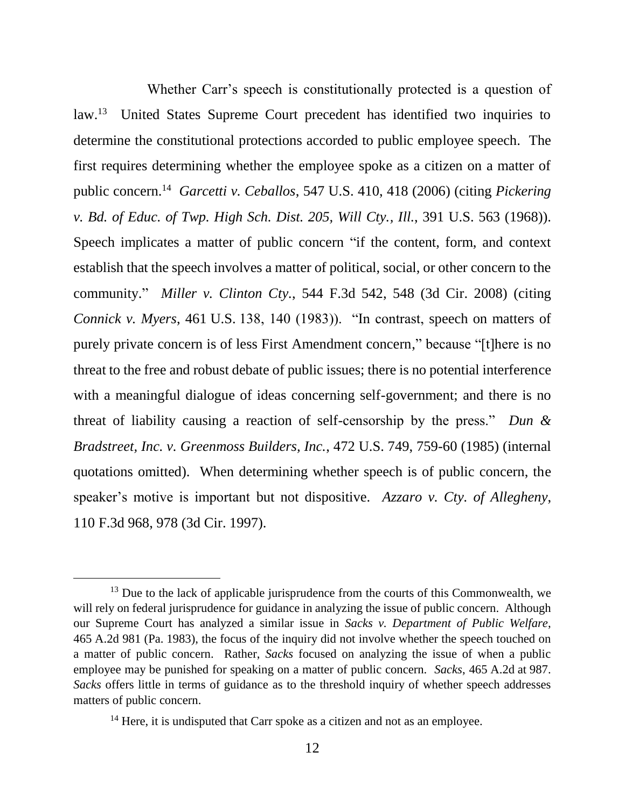Whether Carr's speech is constitutionally protected is a question of law.<sup>13</sup> United States Supreme Court precedent has identified two inquiries to determine the constitutional protections accorded to public employee speech. The first requires determining whether the employee spoke as a citizen on a matter of public concern.<sup>14</sup> *Garcetti v. Ceballos*, 547 U.S. 410, 418 (2006) (citing *Pickering v. Bd. of Educ. of Twp. High Sch. Dist. 205, Will Cty., Ill.*, 391 U.S. 563 (1968)). Speech implicates a matter of public concern "if the content, form, and context establish that the speech involves a matter of political, social, or other concern to the community." *Miller v. Clinton Cty.*, 544 F.3d 542, 548 (3d Cir. 2008) (citing *Connick v. Myers*, 461 U.S. 138, 140 (1983)). "In contrast, speech on matters of purely private concern is of less First Amendment concern," because "[t]here is no threat to the free and robust debate of public issues; there is no potential interference with a meaningful dialogue of ideas concerning self-government; and there is no threat of liability causing a reaction of self-censorship by the press." *Dun & Bradstreet, Inc. v. Greenmoss Builders, Inc.*, 472 U.S. 749, 759-60 (1985) (internal quotations omitted). When determining whether speech is of public concern, the speaker's motive is important but not dispositive. *Azzaro v. Cty. of Allegheny*, 110 F.3d 968, 978 (3d Cir. 1997).

 $13$  Due to the lack of applicable jurisprudence from the courts of this Commonwealth, we will rely on federal jurisprudence for guidance in analyzing the issue of public concern. Although our Supreme Court has analyzed a similar issue in *Sacks v. Department of Public Welfare*, 465 A.2d 981 (Pa. 1983), the focus of the inquiry did not involve whether the speech touched on a matter of public concern. Rather, *Sacks* focused on analyzing the issue of when a public employee may be punished for speaking on a matter of public concern. *Sacks*, 465 A.2d at 987. *Sacks* offers little in terms of guidance as to the threshold inquiry of whether speech addresses matters of public concern.

 $14$  Here, it is undisputed that Carr spoke as a citizen and not as an employee.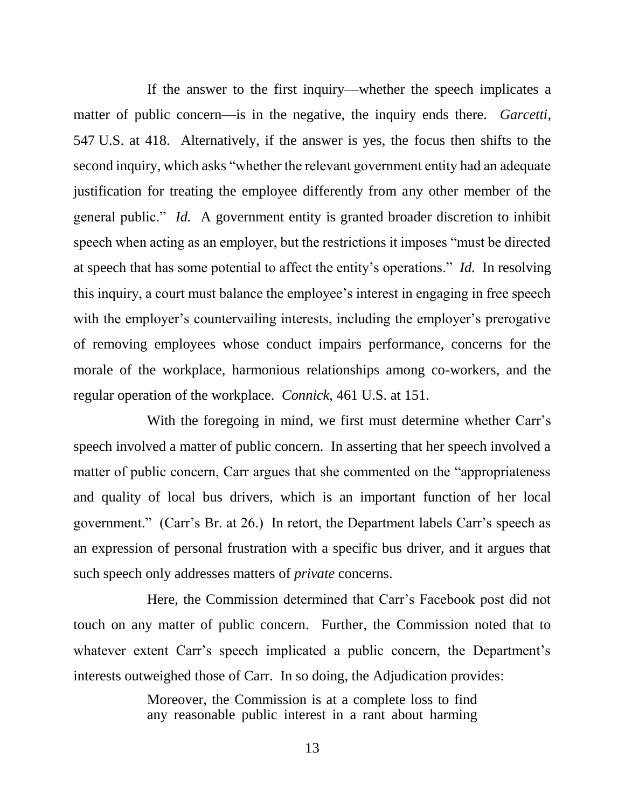If the answer to the first inquiry—whether the speech implicates a matter of public concern—is in the negative, the inquiry ends there. *Garcetti*, 547 U.S. at 418. Alternatively, if the answer is yes, the focus then shifts to the second inquiry, which asks "whether the relevant government entity had an adequate justification for treating the employee differently from any other member of the general public." *Id.* A government entity is granted broader discretion to inhibit speech when acting as an employer, but the restrictions it imposes "must be directed at speech that has some potential to affect the entity's operations." *Id.* In resolving this inquiry, a court must balance the employee's interest in engaging in free speech with the employer's countervailing interests, including the employer's prerogative of removing employees whose conduct impairs performance, concerns for the morale of the workplace, harmonious relationships among co-workers, and the regular operation of the workplace. *Connick*, 461 U.S. at 151.

With the foregoing in mind, we first must determine whether Carr's speech involved a matter of public concern. In asserting that her speech involved a matter of public concern, Carr argues that she commented on the "appropriateness and quality of local bus drivers, which is an important function of her local government." (Carr's Br. at 26.) In retort, the Department labels Carr's speech as an expression of personal frustration with a specific bus driver, and it argues that such speech only addresses matters of *private* concerns.

Here, the Commission determined that Carr's Facebook post did not touch on any matter of public concern. Further, the Commission noted that to whatever extent Carr's speech implicated a public concern, the Department's interests outweighed those of Carr. In so doing, the Adjudication provides:

> Moreover, the Commission is at a complete loss to find any reasonable public interest in a rant about harming

> > 13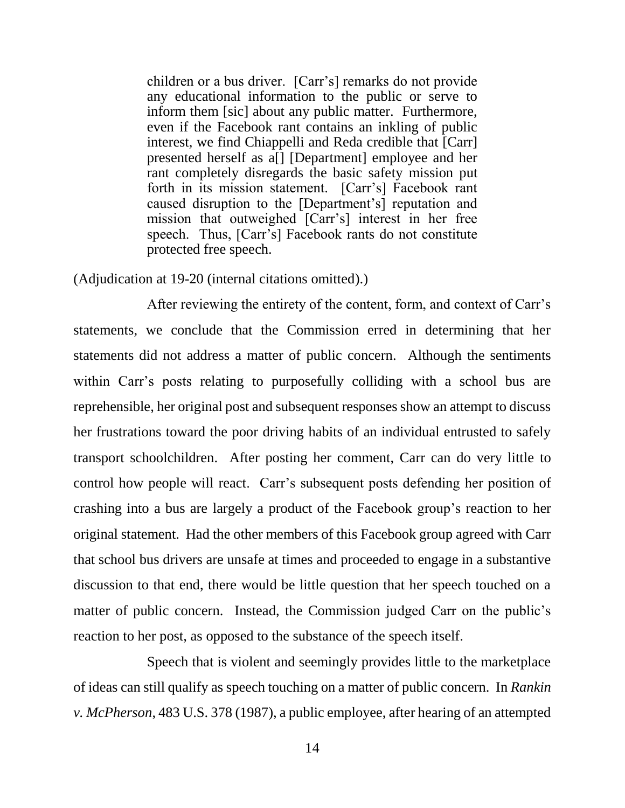children or a bus driver. [Carr's] remarks do not provide any educational information to the public or serve to inform them [sic] about any public matter. Furthermore, even if the Facebook rant contains an inkling of public interest, we find Chiappelli and Reda credible that [Carr] presented herself as a[] [Department] employee and her rant completely disregards the basic safety mission put forth in its mission statement. [Carr's] Facebook rant caused disruption to the [Department's] reputation and mission that outweighed [Carr's] interest in her free speech. Thus, [Carr's] Facebook rants do not constitute protected free speech.

(Adjudication at 19-20 (internal citations omitted).)

After reviewing the entirety of the content, form, and context of Carr's statements, we conclude that the Commission erred in determining that her statements did not address a matter of public concern. Although the sentiments within Carr's posts relating to purposefully colliding with a school bus are reprehensible, her original post and subsequent responses show an attempt to discuss her frustrations toward the poor driving habits of an individual entrusted to safely transport schoolchildren. After posting her comment, Carr can do very little to control how people will react. Carr's subsequent posts defending her position of crashing into a bus are largely a product of the Facebook group's reaction to her original statement. Had the other members of this Facebook group agreed with Carr that school bus drivers are unsafe at times and proceeded to engage in a substantive discussion to that end, there would be little question that her speech touched on a matter of public concern. Instead, the Commission judged Carr on the public's reaction to her post, as opposed to the substance of the speech itself.

Speech that is violent and seemingly provides little to the marketplace of ideas can still qualify as speech touching on a matter of public concern. In *Rankin v. McPherson*, 483 U.S. 378 (1987), a public employee, after hearing of an attempted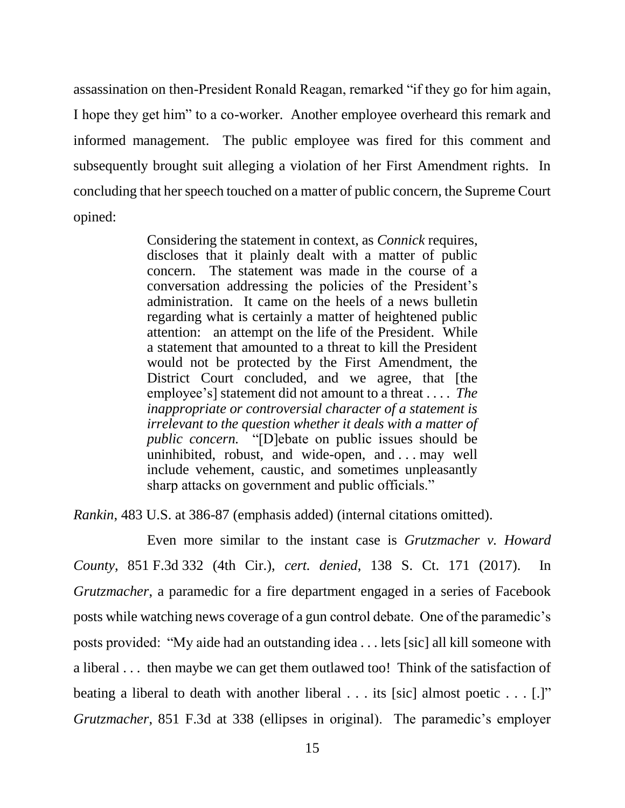assassination on then-President Ronald Reagan, remarked "if they go for him again, I hope they get him" to a co-worker. Another employee overheard this remark and informed management. The public employee was fired for this comment and subsequently brought suit alleging a violation of her First Amendment rights. In concluding that her speech touched on a matter of public concern, the Supreme Court opined:

> Considering the statement in context, as *Connick* requires, discloses that it plainly dealt with a matter of public concern. The statement was made in the course of a conversation addressing the policies of the President's administration. It came on the heels of a news bulletin regarding what is certainly a matter of heightened public attention: an attempt on the life of the President. While a statement that amounted to a threat to kill the President would not be protected by the First Amendment, the District Court concluded, and we agree, that [the employee's] statement did not amount to a threat . . . . *The inappropriate or controversial character of a statement is irrelevant to the question whether it deals with a matter of public concern.* "[D]ebate on public issues should be uninhibited, robust, and wide-open, and . . . may well include vehement, caustic, and sometimes unpleasantly sharp attacks on government and public officials."

*Rankin*, 483 U.S. at 386-87 (emphasis added) (internal citations omitted).

Even more similar to the instant case is *Grutzmacher v. Howard County*, 851 F.3d 332 (4th Cir.), *cert. denied*, 138 S. Ct. 171 (2017). In *Grutzmacher*, a paramedic for a fire department engaged in a series of Facebook posts while watching news coverage of a gun control debate. One of the paramedic's posts provided: "My aide had an outstanding idea . . . lets [sic] all kill someone with a liberal . . . then maybe we can get them outlawed too! Think of the satisfaction of beating a liberal to death with another liberal . . . its [sic] almost poetic . . . [.]" *Grutzmacher*, 851 F.3d at 338 (ellipses in original). The paramedic's employer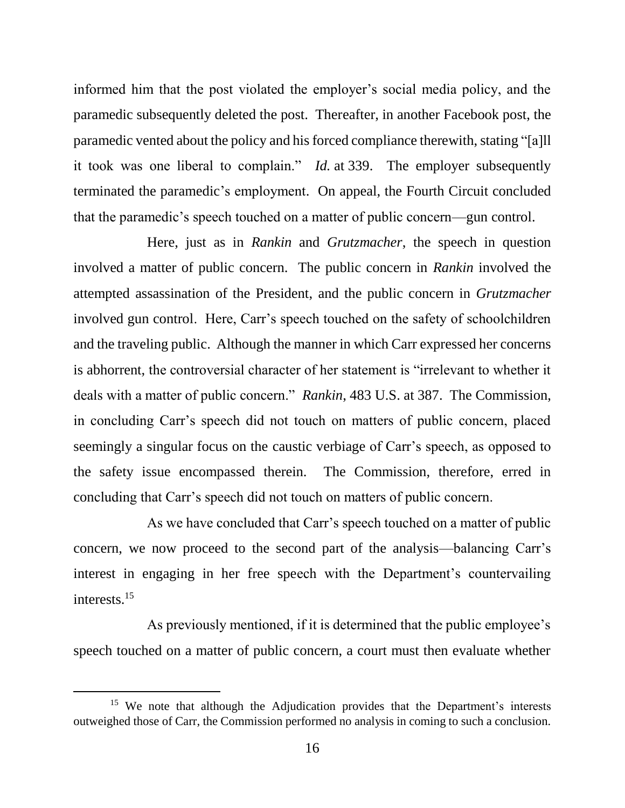informed him that the post violated the employer's social media policy, and the paramedic subsequently deleted the post. Thereafter, in another Facebook post, the paramedic vented about the policy and his forced compliance therewith, stating "[a]ll it took was one liberal to complain." *Id.* at 339. The employer subsequently terminated the paramedic's employment. On appeal, the Fourth Circuit concluded that the paramedic's speech touched on a matter of public concern—gun control.

Here, just as in *Rankin* and *Grutzmacher*, the speech in question involved a matter of public concern. The public concern in *Rankin* involved the attempted assassination of the President, and the public concern in *Grutzmacher* involved gun control. Here, Carr's speech touched on the safety of schoolchildren and the traveling public. Although the manner in which Carr expressed her concerns is abhorrent, the controversial character of her statement is "irrelevant to whether it deals with a matter of public concern." *Rankin*, 483 U.S. at 387. The Commission, in concluding Carr's speech did not touch on matters of public concern, placed seemingly a singular focus on the caustic verbiage of Carr's speech, as opposed to the safety issue encompassed therein. The Commission, therefore, erred in concluding that Carr's speech did not touch on matters of public concern.

As we have concluded that Carr's speech touched on a matter of public concern, we now proceed to the second part of the analysis—balancing Carr's interest in engaging in her free speech with the Department's countervailing interests.<sup>15</sup>

As previously mentioned, if it is determined that the public employee's speech touched on a matter of public concern, a court must then evaluate whether

<sup>&</sup>lt;sup>15</sup> We note that although the Adjudication provides that the Department's interests outweighed those of Carr, the Commission performed no analysis in coming to such a conclusion.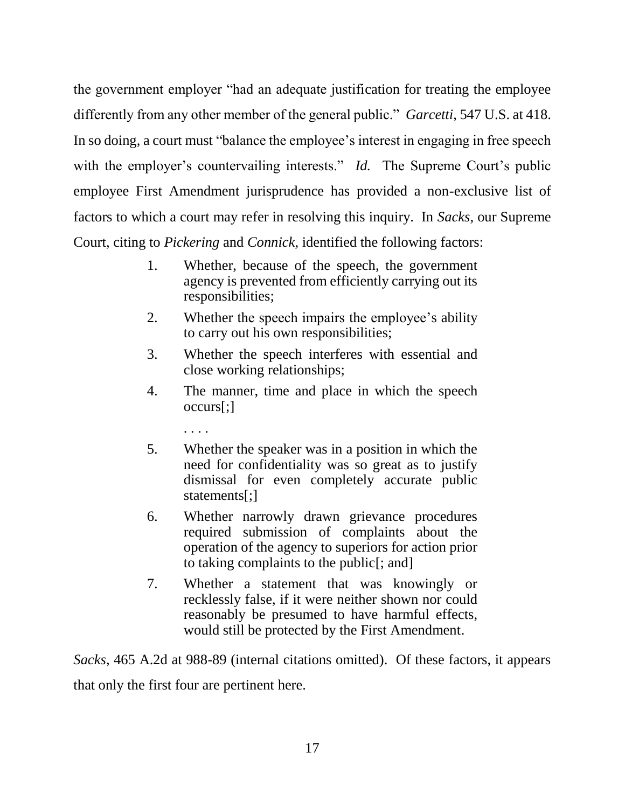the government employer "had an adequate justification for treating the employee differently from any other member of the general public." *Garcetti*, 547 U.S. at 418. In so doing, a court must "balance the employee's interest in engaging in free speech with the employer's countervailing interests." *Id.* The Supreme Court's public employee First Amendment jurisprudence has provided a non-exclusive list of factors to which a court may refer in resolving this inquiry. In *Sacks*, our Supreme Court, citing to *Pickering* and *Connick*, identified the following factors:

- 1. Whether, because of the speech, the government agency is prevented from efficiently carrying out its responsibilities;
- 2. Whether the speech impairs the employee's ability to carry out his own responsibilities;
- 3. Whether the speech interferes with essential and close working relationships;
- 4. The manner, time and place in which the speech occurs[;]
	- . . . .
- 5. Whether the speaker was in a position in which the need for confidentiality was so great as to justify dismissal for even completely accurate public statements[:]
- 6. Whether narrowly drawn grievance procedures required submission of complaints about the operation of the agency to superiors for action prior to taking complaints to the public[; and]
- 7. Whether a statement that was knowingly or recklessly false, if it were neither shown nor could reasonably be presumed to have harmful effects, would still be protected by the First Amendment.

*Sacks*, 465 A.2d at 988-89 (internal citations omitted). Of these factors, it appears that only the first four are pertinent here.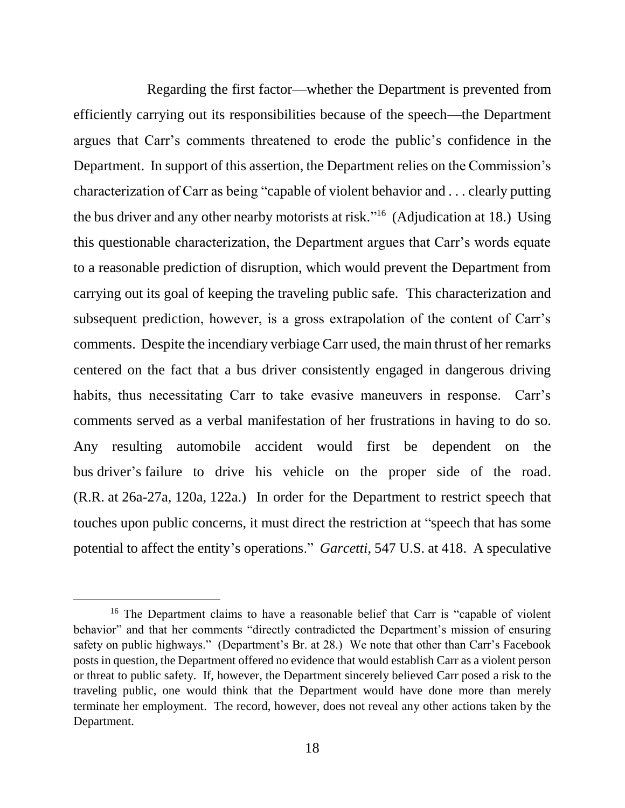Regarding the first factor—whether the Department is prevented from efficiently carrying out its responsibilities because of the speech—the Department argues that Carr's comments threatened to erode the public's confidence in the Department. In support of this assertion, the Department relies on the Commission's characterization of Carr as being "capable of violent behavior and . . . clearly putting the bus driver and any other nearby motorists at risk."<sup>16</sup> (Adjudication at 18.) Using this questionable characterization, the Department argues that Carr's words equate to a reasonable prediction of disruption, which would prevent the Department from carrying out its goal of keeping the traveling public safe. This characterization and subsequent prediction, however, is a gross extrapolation of the content of Carr's comments. Despite the incendiary verbiage Carr used, the main thrust of her remarks centered on the fact that a bus driver consistently engaged in dangerous driving habits, thus necessitating Carr to take evasive maneuvers in response. Carr's comments served as a verbal manifestation of her frustrations in having to do so. Any resulting automobile accident would first be dependent on the bus driver's failure to drive his vehicle on the proper side of the road. (R.R. at 26a-27a, 120a, 122a.) In order for the Department to restrict speech that touches upon public concerns, it must direct the restriction at "speech that has some potential to affect the entity's operations." *Garcetti*, 547 U.S. at 418. A speculative

<sup>&</sup>lt;sup>16</sup> The Department claims to have a reasonable belief that Carr is "capable of violent behavior" and that her comments "directly contradicted the Department's mission of ensuring safety on public highways." (Department's Br. at 28.) We note that other than Carr's Facebook posts in question, the Department offered no evidence that would establish Carr as a violent person or threat to public safety. If, however, the Department sincerely believed Carr posed a risk to the traveling public, one would think that the Department would have done more than merely terminate her employment. The record, however, does not reveal any other actions taken by the Department.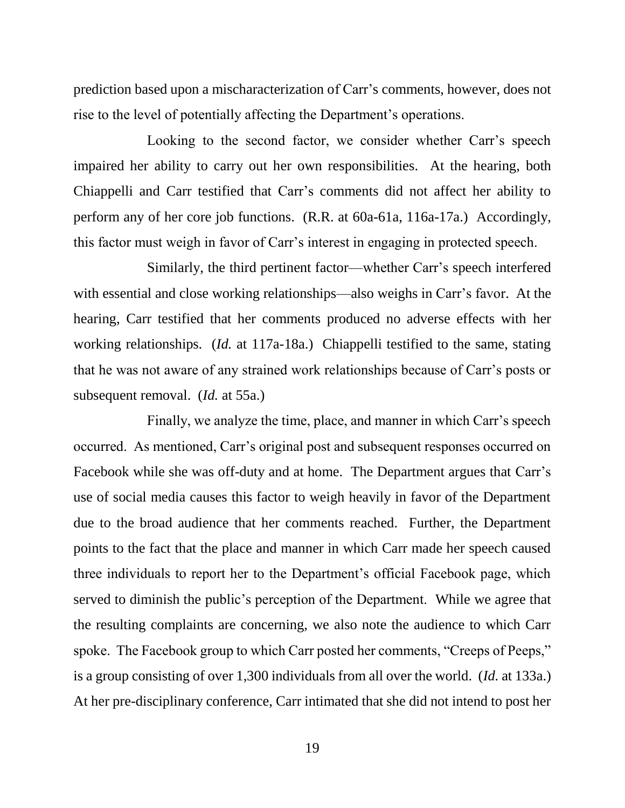prediction based upon a mischaracterization of Carr's comments, however, does not rise to the level of potentially affecting the Department's operations.

Looking to the second factor, we consider whether Carr's speech impaired her ability to carry out her own responsibilities. At the hearing, both Chiappelli and Carr testified that Carr's comments did not affect her ability to perform any of her core job functions. (R.R. at 60a-61a, 116a-17a.) Accordingly, this factor must weigh in favor of Carr's interest in engaging in protected speech.

Similarly, the third pertinent factor—whether Carr's speech interfered with essential and close working relationships—also weighs in Carr's favor. At the hearing, Carr testified that her comments produced no adverse effects with her working relationships. (*Id.* at 117a-18a.) Chiappelli testified to the same, stating that he was not aware of any strained work relationships because of Carr's posts or subsequent removal. (*Id.* at 55a.)

Finally, we analyze the time, place, and manner in which Carr's speech occurred. As mentioned, Carr's original post and subsequent responses occurred on Facebook while she was off-duty and at home. The Department argues that Carr's use of social media causes this factor to weigh heavily in favor of the Department due to the broad audience that her comments reached. Further, the Department points to the fact that the place and manner in which Carr made her speech caused three individuals to report her to the Department's official Facebook page, which served to diminish the public's perception of the Department. While we agree that the resulting complaints are concerning, we also note the audience to which Carr spoke. The Facebook group to which Carr posted her comments, "Creeps of Peeps," is a group consisting of over 1,300 individuals from all over the world. (*Id.* at 133a.) At her pre-disciplinary conference, Carr intimated that she did not intend to post her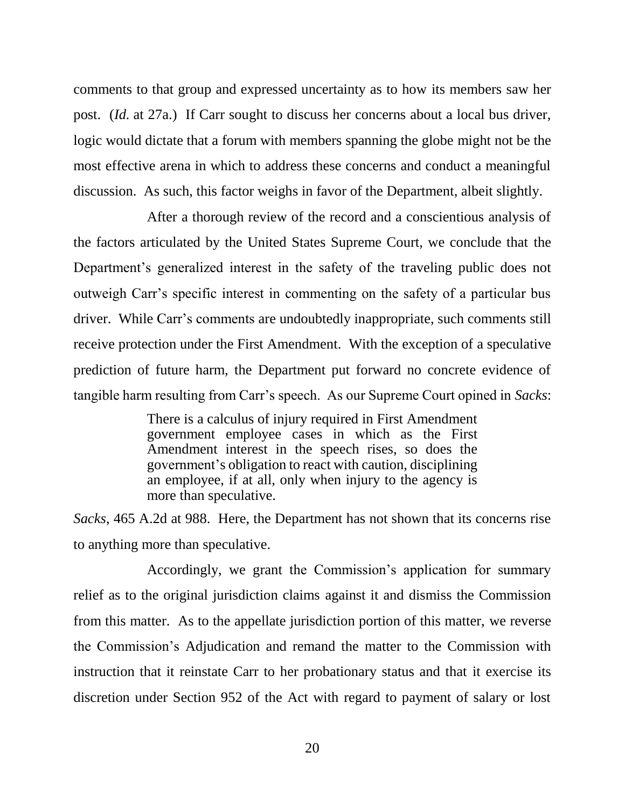comments to that group and expressed uncertainty as to how its members saw her post. (*Id.* at 27a.) If Carr sought to discuss her concerns about a local bus driver, logic would dictate that a forum with members spanning the globe might not be the most effective arena in which to address these concerns and conduct a meaningful discussion. As such, this factor weighs in favor of the Department, albeit slightly.

After a thorough review of the record and a conscientious analysis of the factors articulated by the United States Supreme Court, we conclude that the Department's generalized interest in the safety of the traveling public does not outweigh Carr's specific interest in commenting on the safety of a particular bus driver. While Carr's comments are undoubtedly inappropriate, such comments still receive protection under the First Amendment. With the exception of a speculative prediction of future harm, the Department put forward no concrete evidence of tangible harm resulting from Carr's speech. As our Supreme Court opined in *Sacks*:

> There is a calculus of injury required in First Amendment government employee cases in which as the First Amendment interest in the speech rises, so does the government's obligation to react with caution, disciplining an employee, if at all, only when injury to the agency is more than speculative.

*Sacks*, 465 A.2d at 988. Here, the Department has not shown that its concerns rise to anything more than speculative.

Accordingly, we grant the Commission's application for summary relief as to the original jurisdiction claims against it and dismiss the Commission from this matter. As to the appellate jurisdiction portion of this matter, we reverse the Commission's Adjudication and remand the matter to the Commission with instruction that it reinstate Carr to her probationary status and that it exercise its discretion under Section 952 of the Act with regard to payment of salary or lost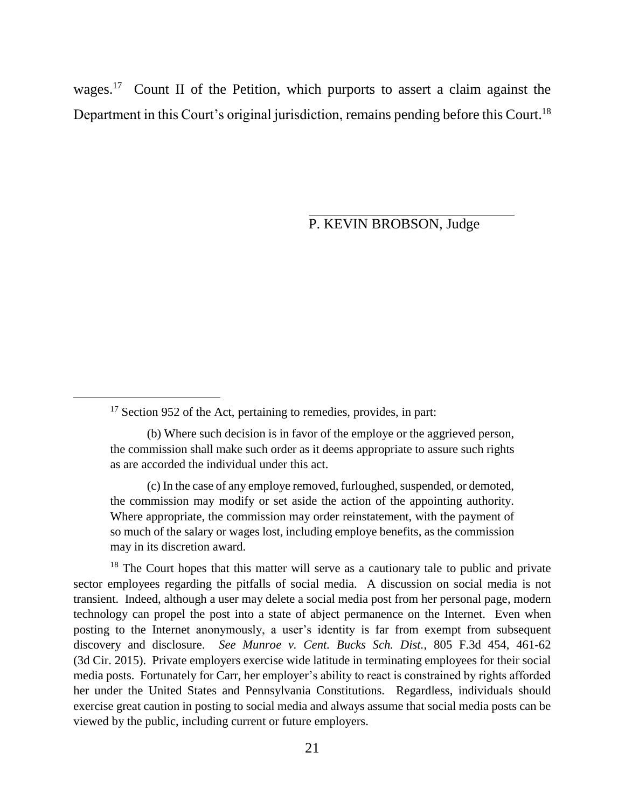wages.<sup>17</sup> Count II of the Petition, which purports to assert a claim against the Department in this Court's original jurisdiction, remains pending before this Court.<sup>18</sup>

P. KEVIN BROBSON, Judge

l

(c) In the case of any employe removed, furloughed, suspended, or demoted, the commission may modify or set aside the action of the appointing authority. Where appropriate, the commission may order reinstatement, with the payment of so much of the salary or wages lost, including employe benefits, as the commission may in its discretion award.

 $18$  The Court hopes that this matter will serve as a cautionary tale to public and private sector employees regarding the pitfalls of social media. A discussion on social media is not transient. Indeed, although a user may delete a social media post from her personal page, modern technology can propel the post into a state of abject permanence on the Internet. Even when posting to the Internet anonymously, a user's identity is far from exempt from subsequent discovery and disclosure. *See Munroe v. Cent. Bucks Sch. Dist.*, 805 F.3d 454, 461-62 (3d Cir. 2015). Private employers exercise wide latitude in terminating employees for their social media posts. Fortunately for Carr, her employer's ability to react is constrained by rights afforded her under the United States and Pennsylvania Constitutions. Regardless, individuals should exercise great caution in posting to social media and always assume that social media posts can be viewed by the public, including current or future employers.

 $17$  Section 952 of the Act, pertaining to remedies, provides, in part:

<sup>(</sup>b) Where such decision is in favor of the employe or the aggrieved person, the commission shall make such order as it deems appropriate to assure such rights as are accorded the individual under this act.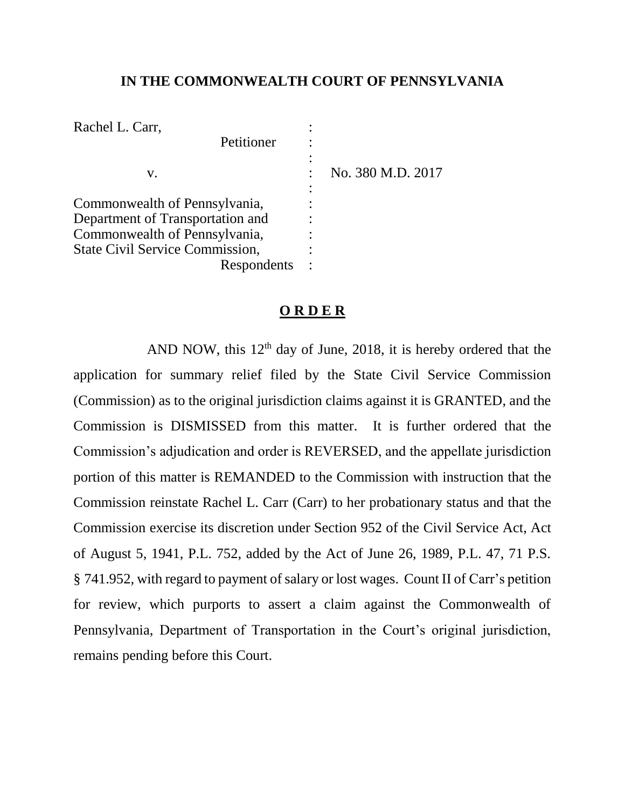# **IN THE COMMONWEALTH COURT OF PENNSYLVANIA**

| Rachel L. Carr,                        |             |                   |
|----------------------------------------|-------------|-------------------|
|                                        | Petitioner  |                   |
|                                        |             |                   |
| v.                                     |             | No. 380 M.D. 2017 |
|                                        |             |                   |
| Commonwealth of Pennsylvania,          |             |                   |
| Department of Transportation and       |             |                   |
| Commonwealth of Pennsylvania,          |             |                   |
| <b>State Civil Service Commission,</b> |             |                   |
|                                        | Respondents |                   |

### **O R D E R**

AND NOW, this  $12<sup>th</sup>$  day of June, 2018, it is hereby ordered that the application for summary relief filed by the State Civil Service Commission (Commission) as to the original jurisdiction claims against it is GRANTED, and the Commission is DISMISSED from this matter. It is further ordered that the Commission's adjudication and order is REVERSED, and the appellate jurisdiction portion of this matter is REMANDED to the Commission with instruction that the Commission reinstate Rachel L. Carr (Carr) to her probationary status and that the Commission exercise its discretion under Section 952 of the Civil Service Act, Act of August 5, 1941, P.L. 752, added by the Act of June 26, 1989, P.L. 47, 71 P.S. § 741.952, with regard to payment of salary or lost wages. Count II of Carr's petition for review, which purports to assert a claim against the Commonwealth of Pennsylvania, Department of Transportation in the Court's original jurisdiction, remains pending before this Court.